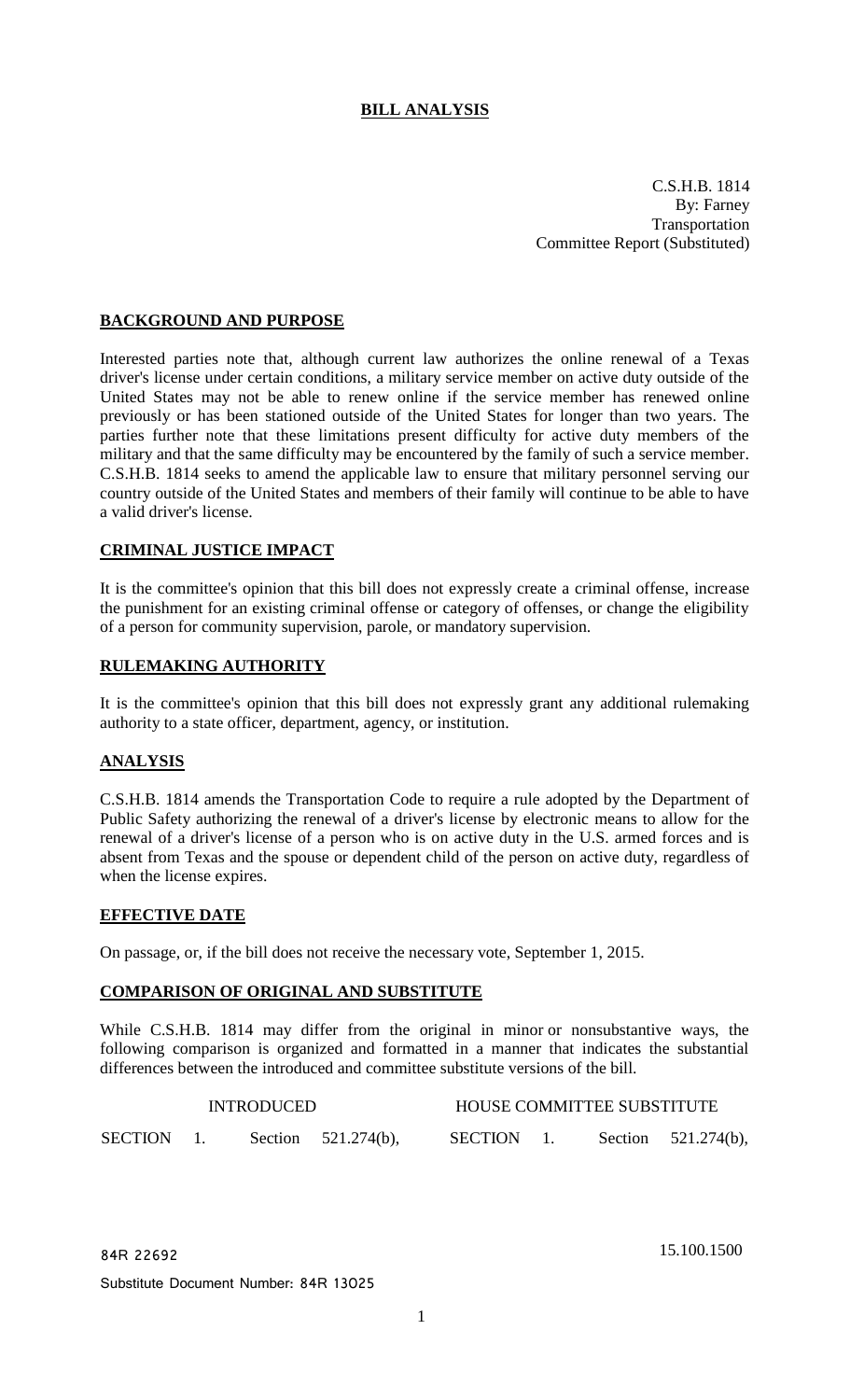# **BILL ANALYSIS**

C.S.H.B. 1814 By: Farney Transportation Committee Report (Substituted)

### **BACKGROUND AND PURPOSE**

Interested parties note that, although current law authorizes the online renewal of a Texas driver's license under certain conditions, a military service member on active duty outside of the United States may not be able to renew online if the service member has renewed online previously or has been stationed outside of the United States for longer than two years. The parties further note that these limitations present difficulty for active duty members of the military and that the same difficulty may be encountered by the family of such a service member. C.S.H.B. 1814 seeks to amend the applicable law to ensure that military personnel serving our country outside of the United States and members of their family will continue to be able to have a valid driver's license.

#### **CRIMINAL JUSTICE IMPACT**

It is the committee's opinion that this bill does not expressly create a criminal offense, increase the punishment for an existing criminal offense or category of offenses, or change the eligibility of a person for community supervision, parole, or mandatory supervision.

#### **RULEMAKING AUTHORITY**

It is the committee's opinion that this bill does not expressly grant any additional rulemaking authority to a state officer, department, agency, or institution.

# **ANALYSIS**

C.S.H.B. 1814 amends the Transportation Code to require a rule adopted by the Department of Public Safety authorizing the renewal of a driver's license by electronic means to allow for the renewal of a driver's license of a person who is on active duty in the U.S. armed forces and is absent from Texas and the spouse or dependent child of the person on active duty, regardless of when the license expires.

#### **EFFECTIVE DATE**

On passage, or, if the bill does not receive the necessary vote, September 1, 2015.

#### **COMPARISON OF ORIGINAL AND SUBSTITUTE**

While C.S.H.B. 1814 may differ from the original in minor or nonsubstantive ways, the following comparison is organized and formatted in a manner that indicates the substantial differences between the introduced and committee substitute versions of the bill.

| <b>INTRODUCED</b> |  |  |                        | HOUSE COMMITTEE SUBSTITUTE |  |  |                        |
|-------------------|--|--|------------------------|----------------------------|--|--|------------------------|
| <b>SECTION</b>    |  |  | Section $521.274(b)$ , | SECTION                    |  |  | Section $521.274(b)$ , |

84R 22692 15.100.1500

Substitute Document Number: 84R 13025